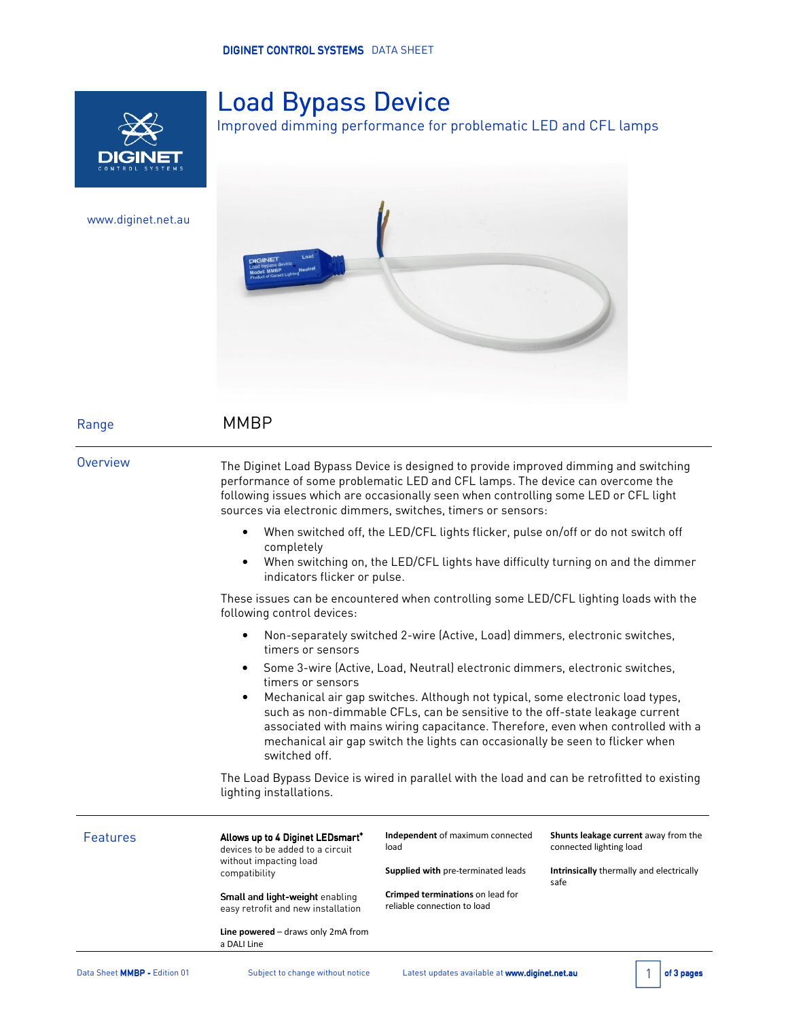

www.diginet.net.au

# **Load Bypass Device**

Improved dimming performance for problematic LED and CFL lamps



Range **MMBP** 

Overview The Diginet Load Bypass Device is designed to provide improved dimming and switching performance of some problematic LED and CFL lamps. The device can overcome the following issues which are occasionally seen when controlling some LED or CFL light sources via electronic dimmers, switches, timers or sensors:

- When switched off, the LED/CFL lights flicker, pulse on/off or do not switch off completely
- When switching on, the LED/CFL lights have difficulty turning on and the dimmer indicators flicker or pulse.

These issues can be encountered when controlling some LED/CFL lighting loads with the following control devices:

- Non-separately switched 2-wire (Active, Load) dimmers, electronic switches, timers or sensors
- Some 3-wire (Active, Load, Neutral) electronic dimmers, electronic switches, timers or sensors
- Mechanical air gap switches. Although not typical, some electronic load types, such as non-dimmable CFLs, can be sensitive to the off-state leakage current associated with mains wiring capacitance. Therefore, even when controlled with a mechanical air gap switch the lights can occasionally be seen to flicker when switched off.

The Load Bypass Device is wired in parallel with the load and can be retrofitted to existing lighting installations.

| <b>Features</b> | Allows up to 4 Diginet LEDsmart <sup>+</sup><br>devices to be added to a circuit | Independent of maximum connected<br>load                        | Shunts leakage current away from the<br>connected lighting load |
|-----------------|----------------------------------------------------------------------------------|-----------------------------------------------------------------|-----------------------------------------------------------------|
|                 | without impacting load<br>compatibility                                          | Supplied with pre-terminated leads                              | Intrinsically thermally and electrically<br>safe                |
|                 | Small and light-weight enabling<br>easy retrofit and new installation            | Crimped terminations on lead for<br>reliable connection to load |                                                                 |
|                 | Line powered $-$ draws only 2mA from<br>a DALI Line                              |                                                                 |                                                                 |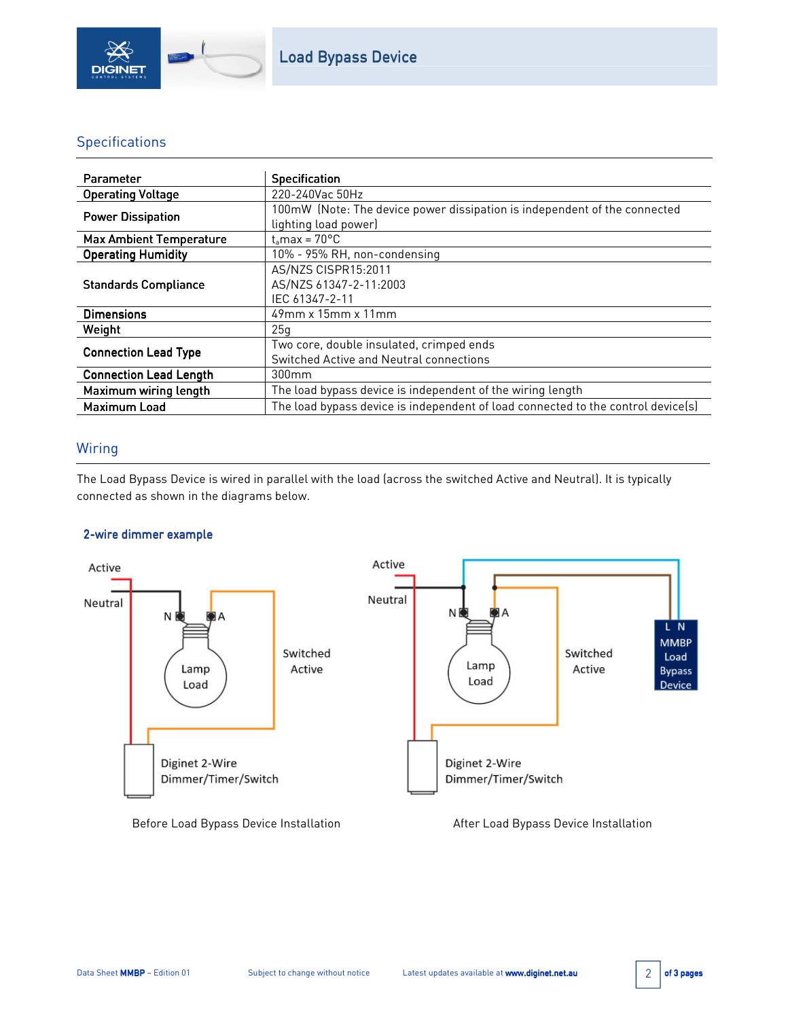

### **Specifications**

| Parameter                      | <b>Specification</b>                                                                              |  |
|--------------------------------|---------------------------------------------------------------------------------------------------|--|
| <b>Operating Voltage</b>       | 220-240Vac 50Hz                                                                                   |  |
| <b>Power Dissipation</b>       | 100mW (Note: The device power dissipation is independent of the connected<br>lighting load power) |  |
| <b>Max Ambient Temperature</b> | $t_{\rm s}$ max = 70 $^{\circ}$ C                                                                 |  |
| <b>Operating Humidity</b>      | 10% - 95% RH, non-condensing                                                                      |  |
| <b>Standards Compliance</b>    | AS/NZS CISPR15:2011<br>AS/NZS 61347-2-11:2003<br>IEC 61347-2-11                                   |  |
| <b>Dimensions</b>              | 49mm x 15mm x 11mm                                                                                |  |
| Weight                         | 25q                                                                                               |  |
| <b>Connection Lead Type</b>    | Two core, double insulated, crimped ends<br>Switched Active and Neutral connections               |  |
| <b>Connection Lead Length</b>  | 300 <sub>mm</sub>                                                                                 |  |
| Maximum wiring length          | The load bypass device is independent of the wiring length                                        |  |
| <b>Maximum Load</b>            | The load bypass device is independent of load connected to the control device(s)                  |  |

## Wiring

The Load Bypass Device is wired in parallel with the load (across the switched Active and Neutral). It is typically connected as shown in the diagrams below.

### 2-wire dimmer example



Before Load Bypass Device Installation **After Load Bypass Device Installation**